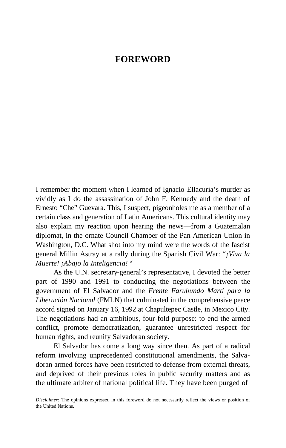## **FOREWORD**

I remember the moment when I learned of Ignacio Ellacuría's murder as vividly as I do the assassination of John F. Kennedy and the death of Ernesto "Che" Guevara. This, I suspect, pigeonholes me as a member of a certain class and generation of Latin Americans. This cultural identity may also explain my reaction upon hearing the news—from a Guatemalan diplomat, in the ornate Council Chamber of the Pan-American Union in Washington, D.C. What shot into my mind were the words of the fascist general Millin Astray at a rally during the Spanish Civil War: "*¡Viva la Muerte! ¡Abajo la Inteligencia!* "

As the U.N. secretary-general's representative, I devoted the better part of 1990 and 1991 to conducting the negotiations between the government of El Salvador and the *Frente Farubundo Martí para la Liberución Nacional* (FMLN) that culminated in the comprehensive peace accord signed on January 16, 1992 at Chapultepec Castle, in Mexico City. The negotiations had an ambitious, four-fold purpose: to end the armed conflict, promote democratization, guarantee unrestricted respect for human rights, and reunify Salvadoran society.

El Salvador has come a long way since then. As part of a radical reform involving unprecedented constitutional amendments, the Salvadoran armed forces have been restricted to defense from external threats, and deprived of their previous roles in public security matters and as the ultimate arbiter of national political life. They have been purged of

*Disclaimer:* The opinions expressed in this foreword do not necessarily reflect the views or position of the United Nations.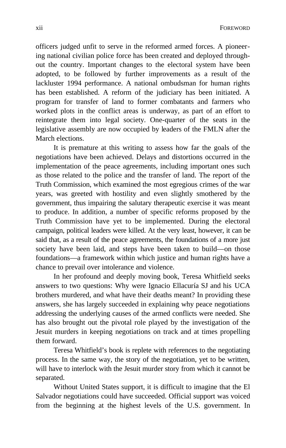officers judged unfit to serve in the reformed armed forces. A pioneering national civilian police force has been created and deployed throughout the country. Important changes to the electoral system have been adopted, to be followed by further improvements as a result of the lackluster 1994 performance. A national ombudsman for human rights has been established. A reform of the judiciary has been initiated. A program for transfer of land to former combatants and farmers who worked plots in the conflict areas is underway, as part of an effort to reintegrate them into legal society. One-quarter of the seats in the legislative assembly are now occupied by leaders of the FMLN after the March elections.

It is premature at this writing to assess how far the goals of the negotiations have been achieved. Delays and distortions occurred in the implementation of the peace agreements, including important ones such as those related to the police and the transfer of land. The report of the Truth Commission, which examined the most egregious crimes of the war years, was greeted with hostility and even slightly smothered by the government, thus impairing the salutary therapeutic exercise it was meant to produce. In addition, a number of specific reforms proposed by the Truth Commission have yet to be implemented. During the electoral campaign, political leaders were killed. At the very least, however, it can be said that, as a result of the peace agreements, the foundations of a more just society have been laid, and steps have been taken to build—on those foundations—a framework within which justice and human rights have a chance to prevail over intolerance and violence.

In her profound and deeply moving book, Teresa Whitfield seeks answers to two questions: Why were Ignacio Ellacuría SJ and his UCA brothers murdered, and what have their deaths meant? In providing these answers, she has largely succeeded in explaining why peace negotiations addressing the underlying causes of the armed conflicts were needed. She has also brought out the pivotal role played by the investigation of the Jesuit murders in keeping negotiations on track and at times propelling them forward.

Teresa Whitfield's book is replete with references to the negotiating process. In the same way, the story of the negotiation, yet to be written, will have to interlock with the Jesuit murder story from which it cannot be separated.

Without United States support, it is difficult to imagine that the El Salvador negotiations could have succeeded. Official support was voiced from the beginning at the highest levels of the U.S. government. In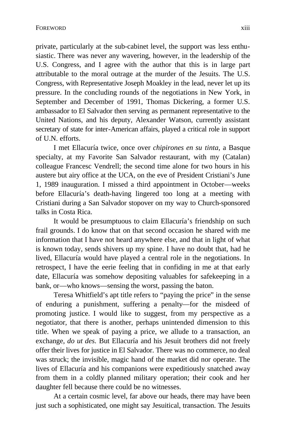private, particularly at the sub-cabinet level, the support was less enthusiastic. There was never any wavering, however, in the leadership of the U.S. Congress, and I agree with the author that this is in large part attributable to the moral outrage at the murder of the Jesuits. The U.S. Congress, with Representative Joseph Moakley in the lead, never let up its pressure. In the concluding rounds of the negotiations in New York, in September and December of 1991, Thomas Dickering, a former U.S. ambassador to El Salvador then serving as permanent representative to the United Nations, and his deputy, Alexander Watson, currently assistant secretary of state for inter-American affairs, played a critical role in support of U.N. efforts.

I met Ellacuría twice, once over *chipirones en su tinta,* a Basque specialty, at my Favorite San Salvador restaurant, with my (Catalan) colleague Francesc Vendrell; the second time alone for two hours in his austere but airy office at the UCA, on the eve of President Cristiani's June 1, 1989 inauguration. I missed a third appointment in October—weeks before Ellacuría's death-having lingered too long at a meeting with Cristiani during a San Salvador stopover on my way to Church-sponsored talks in Costa Rica.

It would be presumptuous to claim Ellacuría's friendship on such frail grounds. I do know that on that second occasion he shared with me information that I have not heard anywhere else, and that in light of what is known today, sends shivers up my spine. I have no doubt that, had he lived, Ellacuría would have played a central role in the negotiations. In retrospect, I have the eerie feeling that in confiding in me at that early date, Ellacuría was somehow depositing valuables for safekeeping in a bank, or—who knows—sensing the worst, passing the baton.

Teresa Whitfield's apt title refers to "paying the price" in the sense of enduring a punishment, suffering a penalty—for the misdeed of promoting justice. I would like to suggest, from my perspective as a negotiator, that there is another, perhaps unintended dimension to this title. When we speak of paying a price, we allude to a transaction, an exchange, *do ut des.* But Ellacuría and his Jesuit brothers did not freely offer their lives for justice in El Salvador. There was no commerce, no deal was struck; the invisible, magic hand of the market did nor operate. The lives of Ellacuría and his companions were expeditiously snatched away from them in a coldly planned military operation; their cook and her daughter fell because there could be no witnesses.

At a certain cosmic level, far above our heads, there may have been just such a sophisticated, one might say Jesuitical, transaction. The Jesuits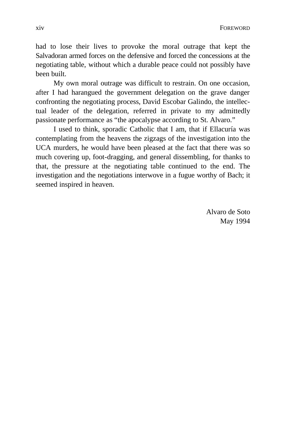had to lose their lives to provoke the moral outrage that kept the Salvadoran armed forces on the defensive and forced the concessions at the negotiating table, without which a durable peace could not possibly have been built.

My own moral outrage was difficult to restrain. On one occasion, after I had harangued the government delegation on the grave danger confronting the negotiating process, David Escobar Galindo, the intellectual leader of the delegation, referred in private to my admittedly passionate performance as "the apocalypse according to St. Alvaro."

I used to think, sporadic Catholic that I am, that if Ellacuría was contemplating from the heavens the zigzags of the investigation into the UCA murders, he would have been pleased at the fact that there was so much covering up, foot-dragging, and general dissembling, for thanks to that, the pressure at the negotiating table continued to the end. The investigation and the negotiations interwove in a fugue worthy of Bach; it seemed inspired in heaven.

> Alvaro de Soto May 1994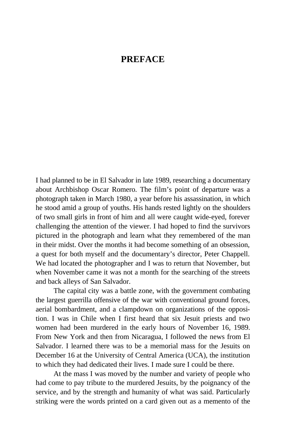## **PREFACE**

I had planned to be in El Salvador in late 1989, researching a documentary about Archbishop Oscar Romero. The film's point of departure was a photograph taken in March 1980, a year before his assassination, in which he stood amid a group of youths. His hands rested lightly on the shoulders of two small girls in front of him and all were caught wide-eyed, forever challenging the attention of the viewer. I had hoped to find the survivors pictured in the photograph and learn what they remembered of the man in their midst. Over the months it had become something of an obsession, a quest for both myself and the documentary's director, Peter Chappell. We had located the photographer and I was to return that November, but when November came it was not a month for the searching of the streets and back alleys of San Salvador.

The capital city was a battle zone, with the government combating the largest guerrilla offensive of the war with conventional ground forces, aerial bombardment, and a clampdown on organizations of the opposition. I was in Chile when I first heard that six Jesuit priests and two women had been murdered in the early hours of November 16, 1989. From New York and then from Nicaragua, I followed the news from El Salvador. I learned there was to be a memorial mass for the Jesuits on December 16 at the University of Central America (UCA), the institution to which they had dedicated their lives. I made sure I could be there.

At the mass I was moved by the number and variety of people who had come to pay tribute to the murdered Jesuits, by the poignancy of the service, and by the strength and humanity of what was said. Particularly striking were the words printed on a card given out as a memento of the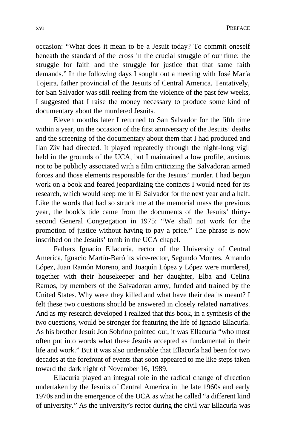occasion: "What does it mean to be a Jesuit today? To commit oneself beneath the standard of the cross in the crucial struggle of our time: the struggle for faith and the struggle for justice that that same faith demands." In the following days I sought out a meeting with José María Tojeira, father provincial of the Jesuits of Central America. Tentatively, for San Salvador was still reeling from the violence of the past few weeks, I suggested that I raise the money necessary to produce some kind of documentary about the murdered Jesuits.

Eleven months later I returned to San Salvador for the fifth time within a year, on the occasion of the first anniversary of the Jesuits' deaths and the screening of the documentary about them that I had produced and Ilan Ziv had directed. It played repeatedly through the night-long vigil held in the grounds of the UCA, but I maintained a low profile, anxious not to be publicly associated with a film criticizing the Salvadoran armed forces and those elements responsible for the Jesuits' murder. I had begun work on a book and feared jeopardizing the contacts I would need for its research, which would keep me in El Salvador for the next year and a half. Like the words that had so struck me at the memorial mass the previous year, the book's tide came from the documents of the Jesuits' thirtysecond General Congregation in 1975: "We shall not work for the promotion of justice without having to pay a price." The phrase is now inscribed on the Jesuits' tomb in the UCA chapel.

Fathers Ignacio Ellacuría, rector of the University of Central America, Ignacio Martín-Baró its vice-rector, Segundo Montes, Amando López, Juan Ramón Moreno, and Joaquín López y López were murdered, together with their housekeeper and her daughter, Elba and Celina Ramos, by members of the Salvadoran army, funded and trained by the United States. Why were they killed and what have their deaths meant? I felt these two questions should be answered in closely related narratives. And as my research developed I realized that this book, in a synthesis of the two questions, would be stronger for featuring the life of Ignacio Ellacuría. As his brother Jesuit Jon Sobrino pointed out, it was Ellacuría "who most often put into words what these Jesuits accepted as fundamental in their life and work." But it was also undeniable that Ellacuría had been for two decades at the forefront of events that soon appeared to me like steps taken toward the dark night of November 16, 1989.

Ellacuría played an integral role in the radical change of direction undertaken by the Jesuits of Central America in the late 1960s and early 1970s and in the emergence of the UCA as what he called "a different kind of university." As the university's rector during the civil war Ellacuría was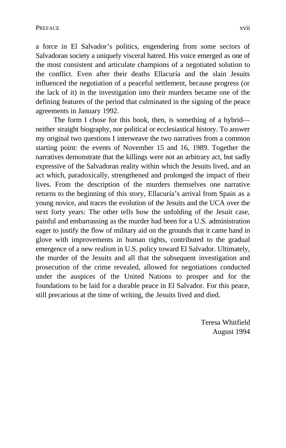a force in El Salvador's politics, engendering from some sectors of Salvadoran society a uniquely visceral hatred. His voice emerged as one of the most consistent and articulate champions of a negotiated solution to the conflict. Even after their deaths Ellacuría and the slain Jesuits influenced the negotiation of a peaceful settlement, because progress (or the lack of it) in the investigation into their murders became one of the defining features of the period that culminated in the signing of the peace agreements in January 1992.

The form I chose for this book, then, is something of a hybrid neither straight biography, nor political or ecclesiastical history. To answer my original two questions I interweave the two narratives from a common starting point: the events of November 15 and 16, 1989. Together the narratives demonstrate that the killings were not an arbitrary act, but sadly expressive of the Salvadoran reality within which the Jesuits lived, and an act which, paradoxically, strengthened and prolonged the impact of their lives. From the description of the murders themselves one narrative returns to the beginning of this story, Ellacuría's arrival from Spain as a young novice, and traces the evolution of the Jesuits and the UCA over the next forty years: The other tells how the unfolding of the Jesuit case, painful and embarrassing as the murder had been for a U.S. administration eager to justify the flow of military aid on the grounds that it came hand in glove with improvements in human rights, contributed to the gradual emergence of a new realism in U.S. policy toward El Salvador. Ultimately, the murder of the Jesuits and all that the subsequent investigation and prosecution of the crime revealed, allowed for negotiations conducted under the auspices of the United Nations to prosper and for the foundations to be laid for a durable peace in El Salvador. For this peace, still precarious at the time of writing, the Jesuits lived and died.

> Teresa Whitfield August 1994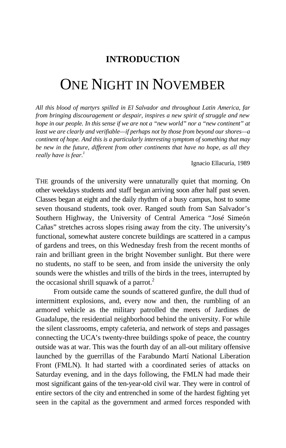## ONE NIGHT IN NOVEMBER

*All this blood of martyrs spilled in El Salvador and throughout Latin America, far from bringing discouragement or despair, inspires a new spirit of struggle and new hope in our people. In this sense if we are not a "new world" nor a "new continent" at least we are clearly and verifiable—if perhaps not by those from beyond our shores—a continent of hope. And this is a particularly interesting symptom of something that may be new in the future, different from other continents that have no hope, as all they really have is fear.<sup>1</sup>*

Ignacio Ellacuría, 1989

THE grounds of the university were unnaturally quiet that morning. On other weekdays students and staff began arriving soon after half past seven. Classes began at eight and the daily rhythm of a busy campus, host to some seven thousand students, took over. Ranged south from San Salvador's Southern Highway, the University of Central America "José Simeón Cañas" stretches across slopes rising away from the city. The university's functional, somewhat austere concrete buildings are scattered in a campus of gardens and trees, on this Wednesday fresh from the recent months of rain and brilliant green in the bright November sunlight. But there were no students, no staff to be seen, and from inside the university the only sounds were the whistles and trills of the birds in the trees, interrupted by the occasional shrill squawk of a parrot.<sup>2</sup>

From outside came the sounds of scattered gunfire, the dull thud of intermittent explosions, and, every now and then, the rumbling of an armored vehicle as the military patrolled the meets of Jardines de Guadalupe, the residential neighborhood behind the university. For while the silent classrooms, empty cafeteria, and network of steps and passages connecting the UCA's twenty-three buildings spoke of peace, the country outside was at war. This was the fourth day of an all-out military offensive launched by the guerrillas of the Farabundo Martí National Liberation Front (FMLN). It had started with a coordinated series of attacks on Saturday evening, and in the days following, the FMLN had made their most significant gains of the ten-year-old civil war. They were in control of entire sectors of the city and entrenched in some of the hardest fighting yet seen in the capital as the government and armed forces responded with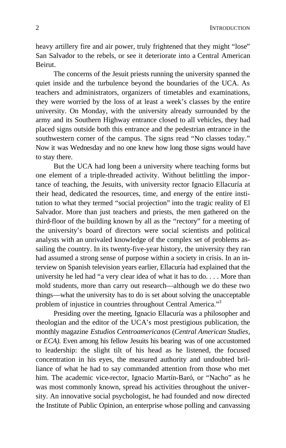heavy artillery fire and air power, truly frightened that they might "lose" San Salvador to the rebels, or see it deteriorate into a Central American Beirut.

The concerns of the Jesuit priests running the university spanned the quiet inside and the turbulence beyond the boundaries of the UCA. As teachers and administrators, organizers of timetables and examinations, they were worried by the loss of at least a week's classes by the entire university. On Monday, with the university already surrounded by the army and its Southern Highway entrance closed to all vehicles, they had placed signs outside both this entrance and the pedestrian entrance in the southwestern corner of the campus. The signs read "No classes today." Now it was Wednesday and no one knew how long those signs would have to stay there.

But the UCA had long been a university where teaching forms but one element of a triple-threaded activity. Without belittling the importance of teaching, the Jesuits, with university rector Ignacio Ellacuría at their head, dedicated the resources, time, and energy of the entire institution to what they termed "social projection" into the tragic reality of El Salvador. More than just teachers and priests, the men gathered on the third-floor of the building known by all as the "rectory" for a meeting of the university's board of directors were social scientists and political analysts with an unrivaled knowledge of the complex set of problems assailing the country. In its twenty-five-year history, the university they ran had assumed a strong sense of purpose within a society in crisis. In an interview on Spanish television years earlier, Ellacuría had explained that the university he led had "a very clear idea of what it has to do. . . . More than mold students, more than carry out research—although we do these two things—what the university has to do is set about solving the unacceptable problem of injustice in countries throughout Central America."<sup>3</sup>

Presiding over the meeting, Ignacio Ellacuría was a philosopher and theologian and the editor of the UCA's most prestigious publication, the monthly magazine *Estudios Centroamericanos* (*Central American Studies*, or *ECA).* Even among his fellow Jesuits his bearing was of one accustomed to leadership: the slight tilt of his head as he listened, the focused concentration in his eyes, the measured authority and undoubted brilliance of what he had to say commanded attention from those who met him. The academic vice-rector, Ignacio Martín-Baró, or "Nacho" as he was most commonly known, spread his activities throughout the university. An innovative social psychologist, he had founded and now directed the Institute of Public Opinion, an enterprise whose polling and canvassing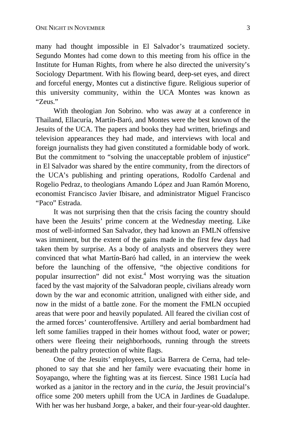many had thought impossible in El Salvador's traumatized society. Segundo Montes had come down to this meeting from his office in the Institute for Human Rights, from where he also directed the university's Sociology Department. With his flowing beard, deep-set eyes, and direct and forceful energy, Montes cut a distinctive figure. Religious superior of this university community, within the UCA Montes was known as "Zeus."

With theologian Jon Sobrino. who was away at a conference in Thailand, Ellacuría, Martín-Baró, and Montes were the best known of the Jesuits of the UCA. The papers and books they had written, briefings and television appearances they had made, and interviews with local and foreign journalists they had given constituted a formidable body of work. But the commitment to "solving the unacceptable problem of injustice" in El Salvador was shared by the entire community, from the directors of the UCA's publishing and printing operations, Rodolfo Cardenal and Rogelio Pedraz, to theologians Amando López and Juan Ramón Moreno, economist Francisco Javier Ibisare, and administrator Miguel Francisco "Paco" Estrada.

It was not surprising then that the crisis facing the country should have been the Jesuits' prime concern at the Wednesday meeting. Like most of well-informed San Salvador, they had known an FMLN offensive was imminent, but the extent of the gains made in the first few days had taken them by surprise. As a body of analysts and observers they were convinced that what Martín-Baró had called, in an interview the week before the launching of the offensive, "the objective conditions for popular insurrection" did not exist.<sup>4</sup> Most worrying was the situation faced by the vast majority of the Salvadoran people, civilians already worn down by the war and economic attrition, unaligned with either side, and now in the midst of a battle zone. For the moment the FMLN occupied areas that were poor and heavily populated. All feared the civilian cost of the armed forces' counteroffensive. Artillery and aerial bombardment had left some families trapped in their homes without food, water or power; others were fleeing their neighborhoods, running through the streets beneath the paltry protection of white flags.

One of the Jesuits' employees, Lucia Barrera de Cerna, had telephoned to say that she and her family were evacuating their home in Soyapango, where the fighting was at its fiercest. Since 1981 Lucía had worked as a janitor in the rectory and in the *curia,* the Jesuit provincial's office some 200 meters uphill from the UCA in Jardines de Guadalupe. With her was her husband Jorge, a baker, and their four-year-old daughter.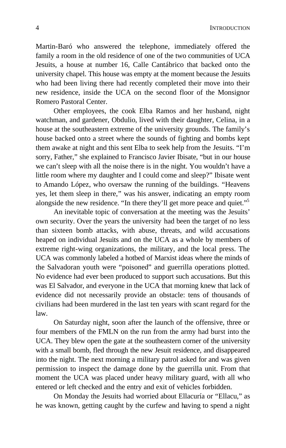Martin-Baró who answered the telephone, immediately offered the family a room in the old residence of one of the two communities of UCA Jesuits, a house at number 16, Calle Cantábrico that backed onto the university chapel. This house was empty at the moment because the Jesuits who had been living there had recently completed their move into their new residence, inside the UCA on the second floor of the Monsignor Romero Pastoral Center.

Other employees, the cook Elba Ramos and her husband, night watchman, and gardener, Obdulio, lived with their daughter, Celina, in a house at the southeastern extreme of the university grounds. The family's house backed onto a street where the sounds of fighting and bombs kept them awake at night and this sent Elba to seek help from the Jesuits. "I'm sorry, Father," she explained to Francisco Javier Ibisate, "but in our house we can't sleep with all the noise there is in the night. You wouldn't have a little room where my daughter and I could come and sleep?" Ibisate went to Amando López, who oversaw the running of the buildings. "Heavens yes, let them sleep in there," was his answer, indicating an empty room alongside the new residence. "In there they'll get more peace and quiet."<sup>5</sup>

An inevitable topic of conversation at the meeting was the Jesuits' own security. Over the years the university had been the target of no less than sixteen bomb attacks, with abuse, threats, and wild accusations heaped on individual Jesuits and on the UCA as a whole by members of extreme right-wing organizations, the military, and the local press. The UCA was commonly labeled a hotbed of Marxist ideas where the minds of the Salvadoran youth were "poisoned" and guerrilla operations plotted. No evidence had ever been produced to support such accusations. But this was El Salvador, and everyone in the UCA that morning knew that lack of evidence did not necessarily provide an obstacle: tens of thousands of civilians had been murdered in the last ten years with scant regard for the law.

On Saturday night, soon after the launch of the offensive, three or four members of the FMLN on the run from the army had burst into the UCA. They blew open the gate at the southeastern corner of the university with a small bomb, fled through the new Jesuit residence, and disappeared into the night. The next morning a military patrol asked for and was given permission to inspect the damage done by the guerrilla unit. From that moment the UCA was placed under heavy military guard, with all who entered or left checked and the entry and exit of vehicles forbidden.

On Monday the Jesuits had worried about Ellacuría or "Ellacu," as he was known, getting caught by the curfew and having to spend a night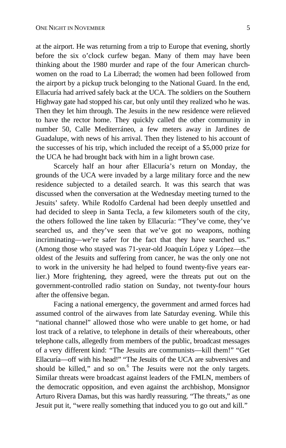at the airport. He was returning from a trip to Europe that evening, shortly before the six o'clock curfew began. Many of them may have been thinking about the 1980 murder and rape of the four American churchwomen on the road to La Liberrad; the women had been followed from the airport by a pickup truck belonging to the National Guard. In the end, Ellacuría had arrived safely back at the UCA. The soldiers on the Southern Highway gate had stopped his car, but only until they realized who he was. Then they let him through. The Jesuits in the new residence were relieved to have the rector home. They quickly called the other community in number 50, Calle Mediterráneo, a few meters away in Jardines de Guadalupe, with news of his arrival. Then they listened to his account of the successes of his trip, which included the receipt of a \$5,000 prize for the UCA he had brought back with him in a light brown case.

Scarcely half an hour after Ellacuría's return on Monday, the grounds of the UCA were invaded by a large military force and the new residence subjected to a detailed search. It was this search that was discussed when the conversation at the Wednesday meeting turned to the Jesuits' safety. While Rodolfo Cardenal had been deeply unsettled and had decided to sleep in Santa Tecla, a few kilometers south of the city, the others followed the line taken by Ellacuría: "They've come, they've searched us, and they've seen that we've got no weapons, nothing incriminating—we're safer for the fact that they have searched us." (Among those who stayed was 71-year-old Joaquín López y López—the oldest of the Jesuits and suffering from cancer, he was the only one not to work in the university he had helped to found twenty-five years earlier.) More frightening, they agreed, were the threats put out on the government-controlled radio station on Sunday, not twenty-four hours after the offensive began.

Facing a national emergency, the government and armed forces had assumed control of the airwaves from late Saturday evening. While this "national channel" allowed those who were unable to get home, or had lost track of a relative, to telephone in details of their whereabouts, other telephone calls, allegedly from members of the public, broadcast messages of a very different kind: "The Jesuits are communists—kill them!" "Get Ellacuría—off with his head!" "The Jesuits of the UCA are subversives and should be killed," and so on.<sup>6</sup> The Jesuits were not the only targets. Similar threats were broadcast against leaders of the FMLN, members of the democratic opposition, and even against the archbishop, Monsignor Arturo Rivera Damas, but this was hardly reassuring. "The threats," as one Jesuit put it, "were really something that induced you to go out and kill."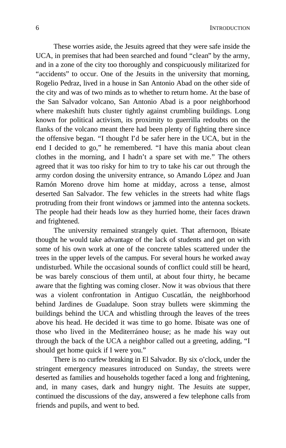These worries aside, the Jesuits agreed that they were safe inside the UCA, in premises that had been searched and found "clean" by the army, and in a zone of the city too thoroughly and conspicuously militarized for "accidents" to occur. One of the Jesuits in the university that morning, Rogelio Pedraz, lived in a house in San Antonio Abad on the other side of the city and was of two minds as to whether to return home. At the base of the San Salvador volcano, San Antonio Abad is a poor neighborhood where makeshift huts cluster tightly against crumbling buildings. Long known for political activism, its proximity to guerrilla redoubts on the flanks of the volcano meant there had been plenty of fighting there since the offensive began. "I thought I'd be safer here in the UCA, but in the end I decided to go," he remembered. "I have this mania about clean clothes in the morning, and I hadn't a spare set with me." The others agreed that it was too risky for him to try to take his car out through the army cordon dosing the university entrance, so Amando López and Juan Ramón Moreno drove him home at midday, across a tense, almost deserted San Salvador. The few vehicles in the streets had white flags protruding from their front windows or jammed into the antenna sockets. The people had their heads low as they hurried home, their faces drawn and frightened.

The university remained strangely quiet. That afternoon, Ibisate thought he would take advantage of the lack of students and get on with some of his own work at one of the concrete tables scattered under the trees in the upper levels of the campus. For several hours he worked away undisturbed. While the occasional sounds of conflict could still be heard, be was barely conscious of them until, at about four thirty, he became aware that the fighting was coming closer. Now it was obvious that there was a violent confrontation in Antiguo Cuscatlán, the neighborhood behind Jardines de Guadalupe. Soon stray bullets were skimming the buildings behind the UCA and whistling through the leaves of the trees above his head. He decided it was time to go home. Ibisate was one of those who lived in the Mediterráneo house; as he made his way out through the back of the UCA a neighbor called out a greeting, adding, "I should get home quick if I were you."

There is no curfew breaking in El Salvador. By six o'clock, under the stringent emergency measures introduced on Sunday, the streets were deserted as families and households together faced a long and frightening, and, in many cases, dark and hungry night. The Jesuits ate supper, continued the discussions of the day, answered a few telephone calls from friends and pupils, and went to bed.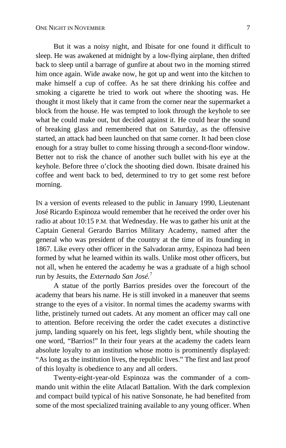But it was a noisy night, and Ibisate for one found it difficult to sleep. He was awakened at midnight by a low-flying airplane, then drifted back to sleep until a barrage of gunfire at about two in the morning stirred him once again. Wide awake now, he got up and went into the kitchen to make himself a cup of coffee. As he sat there drinking his coffee and smoking a cigarette he tried to work out where the shooting was. He thought it most likely that it came from the corner near the supermarket a block from the house. He was tempted to look through the keyhole to see what he could make out, but decided against it. He could hear the sound of breaking glass and remembered that on Saturday, as the offensive started, an attack had been launched on that same corner. It had been close enough for a stray bullet to come hissing through a second-floor window. Better not to risk the chance of another such bullet with his eye at the keyhole. Before three o'clock the shooting died down. Ibisate drained his coffee and went back to bed, determined to try to get some rest before morning.

IN a version of events released to the public in January 1990, Lieutenant José Ricardo Espinoza would remember that he received the order over his radio at about 10:15 P.M. that Wednesday. He was to gather his unit at the Captain General Gerardo Barrios Military Academy, named after the general who was president of the country at the time of its founding in 1867. Like every other officer in the Salvadoran army, Espinoza had been formed by what he learned within its walls. Unlike most other officers, but not all, when he entered the academy he was a graduate of a high school run by Jesuits, the *Externado San José.*<sup>7</sup>

A statue of the portly Barrios presides over the forecourt of the academy that bears his name. He is still invoked in a maneuver that seems strange to the eyes of a visitor. In normal times the academy swarms with lithe, pristinely turned out cadets. At any moment an officer may call one to attention. Before receiving the order the cadet executes a distinctive jump, landing squarely on his feet, legs slightly bent, while shouting the one word, "Barrios!" In their four years at the academy the cadets learn absolute loyalty to an institution whose motto is prominently displayed: "As long as the institution lives, the republic lives." The first and last proof of this loyalty is obedience to any and all orders.

Twenty-eight-year-old Espinoza was the commander of a commando unit within the elite Atlacatl Battalion. With the dark complexion and compact build typical of his native Sonsonate, he had benefited from some of the most specialized training available to any young officer. When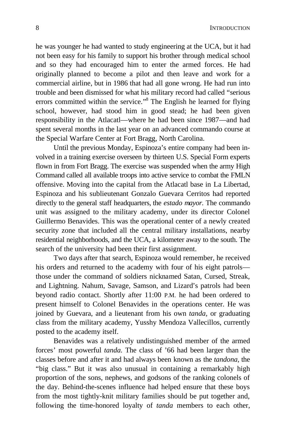he was younger he had wanted to study engineering at the UCA, but it had not been easy for his family to support his brother through medical school and so they had encouraged him to enter the armed forces. He had originally planned to become a pilot and then leave and work for a commercial airline, but in 1986 that had all gone wrong. He had run into trouble and been dismissed for what his military record had called "serious errors committed within the service."<sup>8</sup> The English he learned for flying school, however, had stood him in good stead; he had been given responsibility in the Atlacatl—where he had been since 1987—and had spent several months in the last year on an advanced commando course at the Special Warfare Center at Fort Bragg, North Carolina.

Until the previous Monday, Espinoza's entire company had been involved in a training exercise overseen by thirteen U.S. Special Form experts flown in from Fort Bragg. The exercise was suspended when the army High Command called all available troops into active service to combat the FMLN offensive. Moving into the capital from the Atlacatl base in La Libertad, Espinoza and his sublieutenant Gonzalo Guevara Cerritos had reported directly to the general staff headquarters, the *estado mayor.* The commando unit was assigned to the military academy, under its director Colonel Guillermo Benavides. This was the operational center of a newly created security zone that included all the central military installations, nearby residential neighborhoods, and the UCA, a kilometer away to the south. The search of the university had been their first assignment.

Two days after that search, Espinoza would remember, he received his orders and returned to the academy with four of his eight patrols those under the command of soldiers nicknamed Satan, Cursed, Streak, and Lightning. Nahum, Savage, Samson, and Lizard's patrols had been beyond radio contact. Shortly after 11:00 P.M. he had been ordered to present himself to Colonel Benavides in the operations center. He was joined by Guevara, and a lieutenant from his own *tanda,* or graduating class from the military academy, Yusshy Mendoza Vallecillos, currently posted to the academy itself.

Benavides was a relatively undistinguished member of the armed forces' most powerful *tanda.* The class of '66 had been larger than the classes before and after it and had always been known as the *tandona,* the "big class." But it was also unusual in containing a remarkably high proportion of the sons, nephews, and godsons of the ranking colonels of the day. Behind-the-scenes influence had helped ensure that these boys from the most tightly-knit military families should be put together and, following the time-honored loyalty of *tanda* members to each other,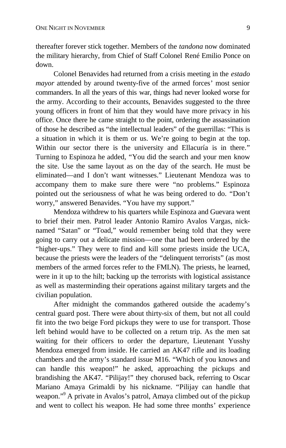thereafter forever stick together. Members of the *tandona* now dominated the military hierarchy, from Chief of Staff Colonel René Emilio Ponce on down.

Colonel Benavides had returned from a crisis meeting in the *estado mayor* attended by around twenty-five of the armed forces' most senior commanders. In all the years of this war, things had never looked worse for the army. According to their accounts, Benavides suggested to the three young officers in front of him that they would have more privacy in his office. Once there he came straight to the point, ordering the assassination of those he described as "the intellectual leaders" of the guerrillas: "This is a situation in which it is them or us. We're going to begin at the top. Within our sector there is the university and Ellacuría is in there." Turning to Espinoza he added, "You did the search and your men know the site. Use the same layout as on the day of the search. He must be eliminated—and I don't want witnesses." Lieutenant Mendoza was to accompany them to make sure there were "no problems." Espinoza pointed out the seriousness of what he was being ordered to do. "Don't worry," answered Benavides. "You have my support."

Mendoza withdrew to his quarters while Espinoza and Guevara went to brief their men. Patrol leader Antonio Ramiro Avalos Vargas, nicknamed "Satan" or "Toad," would remember being told that they were going to carry out a delicate mission—one that had been ordered by the "higher-ups." They were to find and kill some priests inside the UCA, because the priests were the leaders of the "delinquent terrorists" (as most members of the armed forces refer to the FMLN). The priests, he learned, were in it up to the hilt; backing up the terrorists with logistical assistance as well as masterminding their operations against military targets and the civilian population.

After midnight the commandos gathered outside the academy's central guard post. There were about thirty-six of them, but not all could fit into the two beige Ford pickups they were to use for transport. Those left behind would have to be collected on a return trip. As the men sat waiting for their officers to order the departure, Lieutenant Yusshy Mendoza emerged from inside. He carried an AK47 rifle and its loading chambers and the army's standard issue M16. "Which of you knows and can handle this weapon!" he asked, approaching the pickups and brandishing the AK47. "Pilijay!" they chorused back, referring to Oscar Mariano Amaya Grimaldi by his nickname. "Pilijay can handle that weapon."<sup>9</sup> A private in Avalos's patrol, Amaya climbed out of the pickup and went to collect his weapon. He had some three months' experience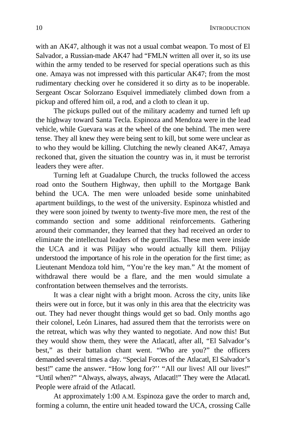with an AK47, although it was not a usual combat weapon. To most of El Salvador, a Russian-made AK47 had "FMLN written all over it, so its use within the army tended to be reserved for special operations such as this one. Amaya was not impressed with this particular AK47; from the most rudimentary checking over he considered it so dirty as to be inoperable. Sergeant Oscar Solorzano Esquivel immediately climbed down from a pickup and offered him oil, a rod, and a cloth to clean it up.

The pickups pulled out of the military academy and turned left up the highway toward Santa Tecla. Espinoza and Mendoza were in the lead vehicle, while Guevara was at the wheel of the one behind. The men were tense. They all knew they were being sent to kill, but some were unclear as to who they would be killing. Clutching the newly cleaned AK47, Amaya reckoned that, given the situation the country was in, it must be terrorist leaders they were after.

Turning left at Guadalupe Church, the trucks followed the access road onto the Southern Highway, then uphill to the Mortgage Bank behind the UCA. The men were unloaded beside some uninhabited apartment buildings, to the west of the university. Espinoza whistled and they were soon joined by twenty to twenty-five more men, the rest of the commando section and some additional reinforcements. Gathering around their commander, they learned that they had received an order to eliminate the intellectual leaders of the guerrillas. These men were inside the UCA and it was Pilijay who would actually kill them. Pilijay understood the importance of his role in the operation for the first time; as Lieutenant Mendoza told him, "You're the key man." At the moment of withdrawal there would be a flare, and the men would simulate a confrontation between themselves and the terrorists.

It was a clear night with a bright moon. Across the city, units like theirs were out in force, but it was only in this area that the electricity was out. They had never thought things would get so bad. Only months ago their colonel, León Linares, had assured them that the terrorists were on the retreat, which was why they wanted to negotiate. And now this! But they would show them, they were the Atlacatl, after all, "El Salvador's best," as their battalion chant went. "Who are you?" the officers demanded several times a day. "Special Forces of the Atlacatl, El Salvador's best!" came the answer. "How long for?" "All our lives! All our lives!" "Until when?" "Always, always, always, Atlacatl!" They were the Atlacatl. People were afraid of the Atlacatl.

At approximately 1:00 A.M. Espinoza gave the order to march and, forming a column, the entire unit headed toward the UCA, crossing Calle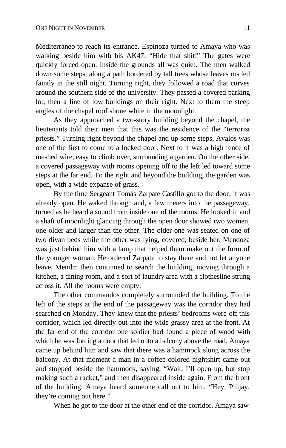Mediterráneo to reach its entrance. Espinoza turned to Amaya who was walking beside him with his AK47. "Hide that shit!" The gates were quickly forced open. Inside the grounds all was quiet. The men walked down some steps, along a path bordered by tall trees whose leaves rustled faintly in the still night. Turning right, they followed a road that curves around the southern side of the university. They passed a covered parking lot, then a line of low buildings on their right. Next to them the steep angles of the chapel roof shone white in the moonlight.

As they approached a two-story building beyond the chapel, the lieutenants told their men that this was the residence of the "terrorist priests." Turning right beyond the chapel and up some steps, Avalos was one of the first to come to a locked door. Next to it was a high fence of meshed wire, easy to climb over, surrounding a garden. On the other side, a covered passageway with rooms opening off to the left led toward some steps at the far end. To the right and beyond the building, the garden was open, with a wide expanse of grass.

By the time Sergeant Tomás Zarpate Castillo got to the door, it was already open. He waked through and, a few meters into the passageway, turned as he heard a sound from inside one of the rooms. He looked in and a shaft of moonlight glancing through the open door showed two women, one older and larger than the other. The older one was seated on one of two divan beds while the other was lying, covered, beside her. Mendoza was just behind him with a lamp that helped them make out the form of the younger woman. He ordered Zarpate to stay there and not let anyone leave. Mendm then continued to search the building, moving through a kitchen, a dining room, and a sort of laundry area with a clothesline strung across it. All the rooms were empty.

The other commandos completely surrounded the building. To the left of the steps at the end of the passageway was the corridor they had searched on Monday. They knew that the priests' bedrooms were off this corridor, which led directly out into the wide grassy area at the front. At the far end of the corridor one soldier had found a piece of wood with which he was forcing a door that led onto a balcony above the road. Amaya came up behind him and saw that there was a hammock slung across the balcony. At that moment a man in a coffee-colored nightshirt came out and stopped beside the hammock, saying, "Wait, I'll open up, but stop making such a racket," and then disappeared inside again. From the front of the building, Amaya heard someone call out to him, "Hey, Pilijay, they're coming out here."

When he got to the door at the other end of the corridor, Amaya saw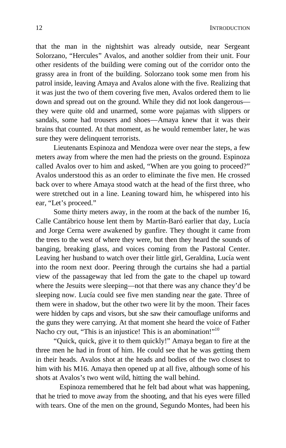that the man in the nightshirt was already outside, near Sergeant Solorzano, "Hercules" Avalos, and another soldier from their unit. Four other residents of the building were coming out of the corridor onto the grassy area in front of the building. Solorzano took some men from his patrol inside, leaving Amaya and Avalos alone with the five. Realizing that it was just the two of them covering five men, Avalos ordered them to lie down and spread out on the ground. While they did not look dangerous they were quite old and unarmed, some wore pajamas with slippers or sandals, some had trousers and shoes—Amaya knew that it was their brains that counted. At that moment, as he would remember later, he was sure they were delinquent terrorists.

Lieutenants Espinoza and Mendoza were over near the steps, a few meters away from where the men had the priests on the ground. Espinoza called Avalos over to him and asked, "When are you going to proceed?" Avalos understood this as an order to eliminate the five men. He crossed back over to where Amaya stood watch at the head of the first three, who were stretched out in a line. Leaning toward him, he whispered into his ear, "Let's proceed."

Some thirty meters away, in the room at the back of the number 16, Calle Cantábrico house lent them by Martín-Baró earlier that day, Lucía and Jorge Cerna were awakened by gunfire. They thought it came from the trees to the west of where they were, but then they heard the sounds of banging, breaking glass, and voices coming from the Pastoral Center. Leaving her husband to watch over their little girl, Geraldina, Lucía went into the room next door. Peering through the curtains she had a partial view of the passageway that led from the gate to the chapel up toward where the Jesuits were sleeping—not that there was any chance they'd be sleeping now. Lucía could see five men standing near the gate. Three of them were in shadow, but the other two were lit by the moon. Their faces were hidden by caps and visors, but she saw their camouflage uniforms and the guns they were carrying. At that moment she heard the voice of Father Nacho cry out, "This is an injustice! This is an abomination!"<sup>10</sup>

"Quick, quick, give it to them quickly!" Amaya began to fire at the three men he had in front of him. He could see that he was getting them in their heads. Avalos shot at the heads and bodies of the two closest to him with his M16. Amaya then opened up at all five, although some of his shots at Avalos's two went wild, hitting the wall behind.

Espinoza remembered that he felt bad about what was happening, that he tried to move away from the shooting, and that his eyes were filled with tears. One of the men on the ground, Segundo Montes, had been his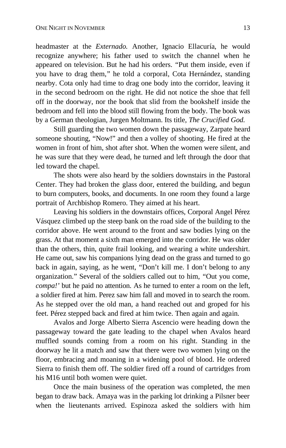headmaster at the *Externado.* Another, Ignacio Ellacuría, he would recognize anywhere; his father used to switch the channel when he appeared on television. But he had his orders. "Put them inside, even if you have to drag them," he told a corporal, Cota Hernández, standing nearby. Cota only had time to drag one body into the corridor, leaving it in the second bedroom on the right. He did not notice the shoe that fell off in the doorway, nor the book that slid from the bookshelf inside the bedroom and fell into the blood still flowing from the body. The book was by a German theologian, Jurgen Moltmann. Its title, *The Crucified God.*

Still guarding the two women down the passageway, Zarpate heard someone shouting, "Now!" and then a volley of shooting. He fired at the women in front of him, shot after shot. When the women were silent, and he was sure that they were dead, he turned and left through the door that led toward the chapel.

The shots were also heard by the soldiers downstairs in the Pastoral Center. They had broken the glass door, entered the building, and begun to burn computers, books, and documents. In one room they found a large portrait of Archbishop Romero. They aimed at his heart.

Leaving his soldiers in the downstairs offices, Corporal Angel Pérez Vásquez climbed up the steep bank on the road side of the building to the corridor above. He went around to the front and saw bodies lying on the grass. At that moment a sixth man emerged into the corridor. He was older than the others, thin, quite frail looking, and wearing a white undershirt. He came out, saw his companions lying dead on the grass and turned to go back in again, saying, as he went, "Don't kill me. I don't belong to any organization." Several of the soldiers called out to him, "Out you come, *compa!'* but he paid no attention. As he turned to enter a room on the left, a soldier fired at him. Perez saw him fall and moved in to search the room. As he stepped over the old man, a hand reached out and groped for his feet. Pérez stepped back and fired at him twice. Then again and again.

Avalos and Jorge Alberto Sierra Ascencio were heading down the passageway toward the gate leading to the chapel when Avalos heard muffled sounds coming from a room on his right. Standing in the doorway he lit a match and saw that there were two women lying on the floor, embracing and moaning in a widening pool of blood. He ordered Sierra to finish them off. The soldier fired off a round of cartridges from his M16 until both women were quiet.

Once the main business of the operation was completed, the men began to draw back. Amaya was in the parking lot drinking a Pilsner beer when the lieutenants arrived. Espinoza asked the soldiers with him